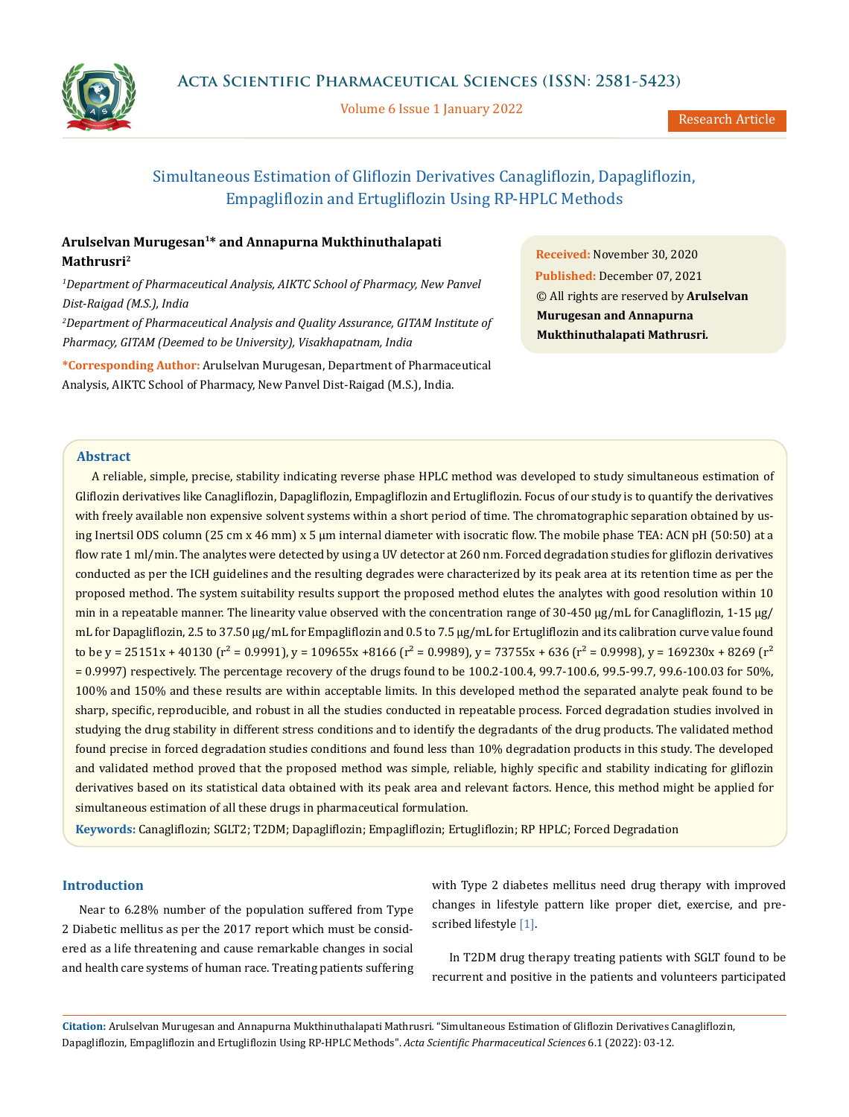

Volume 6 Issue 1 January 2022

# Simultaneous Estimation of Gliflozin Derivatives Canagliflozin, Dapagliflozin, Empagliflozin and Ertugliflozin Using RP-HPLC Methods

## **Arulselvan Murugesan1\* and Annapurna Mukthinuthalapati Mathrusri2**

<sup>1</sup>Department of Pharmaceutical Analysis, AIKTC School of Pharmacy, New Panvel *Dist-Raigad (M.S.), India 2 Department of Pharmaceutical Analysis and Quality Assurance, GITAM Institute of* 

*Pharmacy, GITAM (Deemed to be University), Visakhapatnam, India*

**\*Corresponding Author:** Arulselvan Murugesan, Department of Pharmaceutical Analysis, AIKTC School of Pharmacy, New Panvel Dist-Raigad (M.S.), India.

**Received:** November 30, 2020 **Published:** December 07, 2021 © All rights are reserved by **Arulselvan Murugesan and Annapurna Mukthinuthalapati Mathrusri***.*

## **Abstract**

A reliable, simple, precise, stability indicating reverse phase HPLC method was developed to study simultaneous estimation of Gliflozin derivatives like Canagliflozin, Dapagliflozin, Empagliflozin and Ertugliflozin. Focus of our study is to quantify the derivatives with freely available non expensive solvent systems within a short period of time. The chromatographic separation obtained by using Inertsil ODS column (25 cm x 46 mm) x 5 µm internal diameter with isocratic flow. The mobile phase TEA: ACN pH (50:50) at a flow rate 1 ml/min. The analytes were detected by using a UV detector at 260 nm. Forced degradation studies for gliflozin derivatives conducted as per the ICH guidelines and the resulting degrades were characterized by its peak area at its retention time as per the proposed method. The system suitability results support the proposed method elutes the analytes with good resolution within 10 min in a repeatable manner. The linearity value observed with the concentration range of 30-450  $\mu$ g/mL for Canagliflozin, 1-15  $\mu$ g/ mL for Dapagliflozin, 2.5 to 37.50 µg/mL for Empagliflozin and 0.5 to 7.5 µg/mL for Ertugliflozin and its calibration curve value found to be y = 25151x + 40130 ( $r^2$  = 0.9991), y = 109655x +8166 ( $r^2$  = 0.9989), y = 73755x + 636 ( $r^2$  = 0.9998), y = 169230x + 8269 ( $r^2$ = 0.9997) respectively. The percentage recovery of the drugs found to be 100.2-100.4, 99.7-100.6, 99.5-99.7, 99.6-100.03 for 50%, 100% and 150% and these results are within acceptable limits. In this developed method the separated analyte peak found to be sharp, specific, reproducible, and robust in all the studies conducted in repeatable process. Forced degradation studies involved in studying the drug stability in different stress conditions and to identify the degradants of the drug products. The validated method found precise in forced degradation studies conditions and found less than 10% degradation products in this study. The developed and validated method proved that the proposed method was simple, reliable, highly specific and stability indicating for gliflozin derivatives based on its statistical data obtained with its peak area and relevant factors. Hence, this method might be applied for simultaneous estimation of all these drugs in pharmaceutical formulation.

**Keywords:** Canagliflozin; SGLT2; T2DM; Dapagliflozin; Empagliflozin; Ertugliflozin; RP HPLC; Forced Degradation

## **Introduction**

Near to 6.28% number of the population suffered from Type 2 Diabetic mellitus as per the 2017 report which must be considered as a life threatening and cause remarkable changes in social and health care systems of human race. Treating patients suffering with Type 2 diabetes mellitus need drug therapy with improved changes in lifestyle pattern like proper diet, exercise, and prescribed lifestyle [1].

In T2DM drug therapy treating patients with SGLT found to be recurrent and positive in the patients and volunteers participated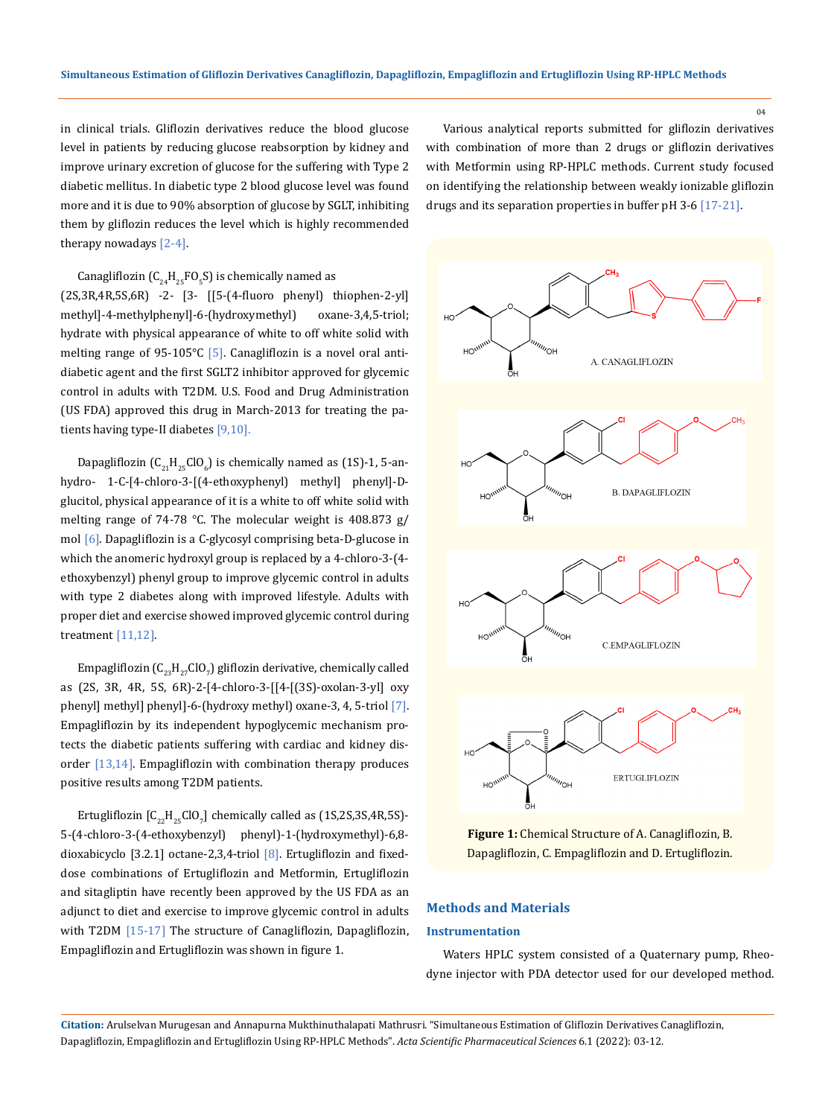in clinical trials. Gliflozin derivatives reduce the blood glucose level in patients by reducing glucose reabsorption by kidney and improve urinary excretion of glucose for the suffering with Type 2 diabetic mellitus. In diabetic type 2 blood glucose level was found more and it is due to 90% absorption of glucose by SGLT, inhibiting them by gliflozin reduces the level which is highly recommended therapy nowadays [2-4].

Canagliflozin ( $C_{24}H_{25}FO_5S$ ) is chemically named as

(2S,3R,4R,5S,6R) -2- [3- [[5-(4-fluoro phenyl) thiophen-2-yl] methyl]-4-methylphenyl]-6-(hydroxymethyl) oxane-3,4,5-triol; hydrate with physical appearance of white to off white solid with melting range of 95-105 $°C$  [5]. Canagliflozin is a novel oral antidiabetic agent and the first SGLT2 inhibitor approved for glycemic control in adults with T2DM. U.S. Food and Drug Administration (US FDA) approved this drug in March-2013 for treating the patients having type-II diabetes [9,10].

Dapagliflozin ( $C_{21}H_{25}GIO_{6}$ ) is chemically named as (1S)-1, 5-anhydro- 1-C-[4-chloro-3-[(4-ethoxyphenyl) methyl] phenyl]-Dglucitol, physical appearance of it is a white to off white solid with melting range of 74-78 °C. The molecular weight is 408.873 g/ mol [6]. Dapagliflozin is a C-glycosyl comprising beta-D-glucose in which the anomeric hydroxyl group is replaced by a 4-chloro-3-(4 ethoxybenzyl) phenyl group to improve glycemic control in adults with type 2 diabetes along with improved lifestyle. Adults with proper diet and exercise showed improved glycemic control during treatment [11,12].

Empagliflozin ( $\mathsf{C}_{23}\mathsf{H}_{27}$ ClO<sub>7</sub>) gliflozin derivative, chemically called as (2S, 3R, 4R, 5S, 6R)-2-[4-chloro-3-[[4-[(3S)-oxolan-3-yl] oxy phenyl] methyl] phenyl]-6-(hydroxy methyl) oxane-3, 4, 5-triol [7]. Empagliflozin by its independent hypoglycemic mechanism protects the diabetic patients suffering with cardiac and kidney disorder  $[13,14]$ . Empagliflozin with combination therapy produces positive results among T2DM patients.

Ertugliflozin  $[C_{22}H_{25}CO_{7}]$  chemically called as (1S,2S,3S,4R,5S)-5-(4-chloro-3-(4-ethoxybenzyl) phenyl)-1-(hydroxymethyl)-6,8 dioxabicyclo [3.2.1] octane-2,3,4-triol  $[8]$ . Ertugliflozin and fixeddose combinations of Ertugliflozin and Metformin, Ertugliflozin and sitagliptin have recently been approved by the US FDA as an adjunct to diet and exercise to improve glycemic control in adults with T2DM [15-17] The structure of Canagliflozin, Dapagliflozin, Empagliflozin and Ertugliflozin was shown in figure 1.

Various analytical reports submitted for gliflozin derivatives with combination of more than 2 drugs or gliflozin derivatives with Metformin using RP-HPLC methods. Current study focused on identifying the relationship between weakly ionizable gliflozin drugs and its separation properties in buffer pH 3-6 [17-21].





## **Methods and Materials**

## **Instrumentation**

Waters HPLC system consisted of a Quaternary pump, Rheodyne injector with PDA detector used for our developed method.

**Citation:** Arulselvan Murugesan and Annapurna Mukthinuthalapati Mathrusri*.* "Simultaneous Estimation of Gliflozin Derivatives Canagliflozin, Dapagliflozin, Empagliflozin and Ertugliflozin Using RP-HPLC Methods". *Acta Scientific Pharmaceutical Sciences* 6.1 (2022): 03-12.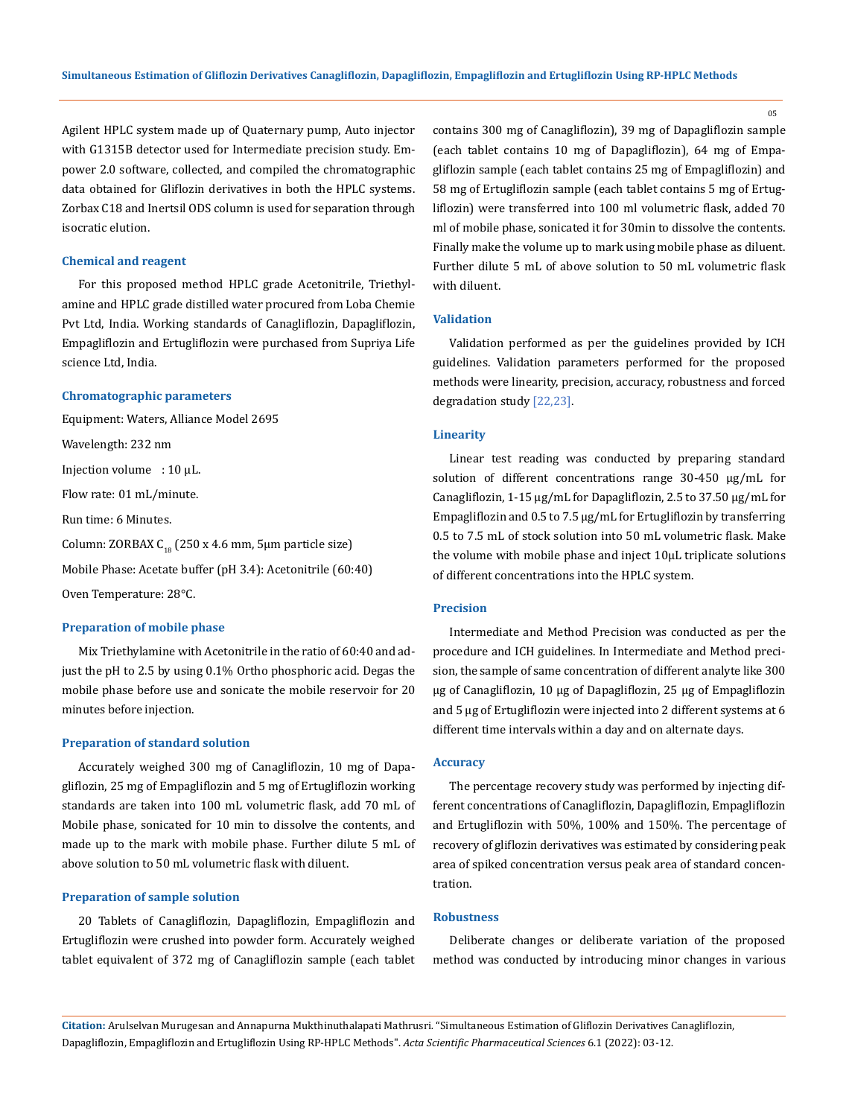Agilent HPLC system made up of Quaternary pump, Auto injector with G1315B detector used for Intermediate precision study. Empower 2.0 software, collected, and compiled the chromatographic data obtained for Gliflozin derivatives in both the HPLC systems. Zorbax C18 and Inertsil ODS column is used for separation through isocratic elution.

## **Chemical and reagent**

For this proposed method HPLC grade Acetonitrile, Triethylamine and HPLC grade distilled water procured from Loba Chemie Pvt Ltd, India. Working standards of Canagliflozin, Dapagliflozin, Empagliflozin and Ertugliflozin were purchased from Supriya Life science Ltd, India.

### **Chromatographic parameters**

Equipment: Waters, Alliance Model 2695

Wavelength: 232 nm

Injection volume : 10 µL.

Flow rate: 01 mL/minute.

Run time: 6 Minutes.

Column: ZORBAX  $C_{18}$  (250 x 4.6 mm, 5µm particle size)

Mobile Phase: Acetate buffer (pH 3.4): Acetonitrile (60:40)

Oven Temperature: 28°C.

#### **Preparation of mobile phase**

Mix Triethylamine with Acetonitrile in the ratio of 60:40 and adjust the pH to 2.5 by using 0.1% Ortho phosphoric acid. Degas the mobile phase before use and sonicate the mobile reservoir for 20 minutes before injection.

#### **Preparation of standard solution**

Accurately weighed 300 mg of Canagliflozin, 10 mg of Dapagliflozin, 25 mg of Empagliflozin and 5 mg of Ertugliflozin working standards are taken into 100 mL volumetric flask, add 70 mL of Mobile phase, sonicated for 10 min to dissolve the contents, and made up to the mark with mobile phase. Further dilute 5 mL of above solution to 50 mL volumetric flask with diluent.

## **Preparation of sample solution**

20 Tablets of Canagliflozin, Dapagliflozin, Empagliflozin and Ertugliflozin were crushed into powder form. Accurately weighed tablet equivalent of 372 mg of Canagliflozin sample (each tablet contains 300 mg of Canagliflozin), 39 mg of Dapagliflozin sample (each tablet contains 10 mg of Dapagliflozin), 64 mg of Empagliflozin sample (each tablet contains 25 mg of Empagliflozin) and 58 mg of Ertugliflozin sample (each tablet contains 5 mg of Ertugliflozin) were transferred into 100 ml volumetric flask, added 70 ml of mobile phase, sonicated it for 30min to dissolve the contents. Finally make the volume up to mark using mobile phase as diluent. Further dilute 5 mL of above solution to 50 mL volumetric flask with diluent.

### **Validation**

Validation performed as per the guidelines provided by ICH guidelines. Validation parameters performed for the proposed methods were linearity, precision, accuracy, robustness and forced degradation study [22,23].

#### **Linearity**

Linear test reading was conducted by preparing standard solution of different concentrations range 30-450 µg/mL for Canagliflozin, 1-15 µg/mL for Dapagliflozin, 2.5 to 37.50 µg/mL for Empagliflozin and 0.5 to 7.5 µg/mL for Ertugliflozin by transferring 0.5 to 7.5 mL of stock solution into 50 mL volumetric flask. Make the volume with mobile phase and inject 10µL triplicate solutions of different concentrations into the HPLC system.

## **Precision**

Intermediate and Method Precision was conducted as per the procedure and ICH guidelines. In Intermediate and Method precision, the sample of same concentration of different analyte like 300 µg of Canagliflozin, 10 µg of Dapagliflozin, 25 µg of Empagliflozin and 5 µg of Ertugliflozin were injected into 2 different systems at 6 different time intervals within a day and on alternate days.

#### **Accuracy**

The percentage recovery study was performed by injecting different concentrations of Canagliflozin, Dapagliflozin, Empagliflozin and Ertugliflozin with 50%, 100% and 150%. The percentage of recovery of gliflozin derivatives was estimated by considering peak area of spiked concentration versus peak area of standard concentration.

## **Robustness**

Deliberate changes or deliberate variation of the proposed method was conducted by introducing minor changes in various

**Citation:** Arulselvan Murugesan and Annapurna Mukthinuthalapati Mathrusri*.* "Simultaneous Estimation of Gliflozin Derivatives Canagliflozin, Dapagliflozin, Empagliflozin and Ertugliflozin Using RP-HPLC Methods". *Acta Scientific Pharmaceutical Sciences* 6.1 (2022): 03-12.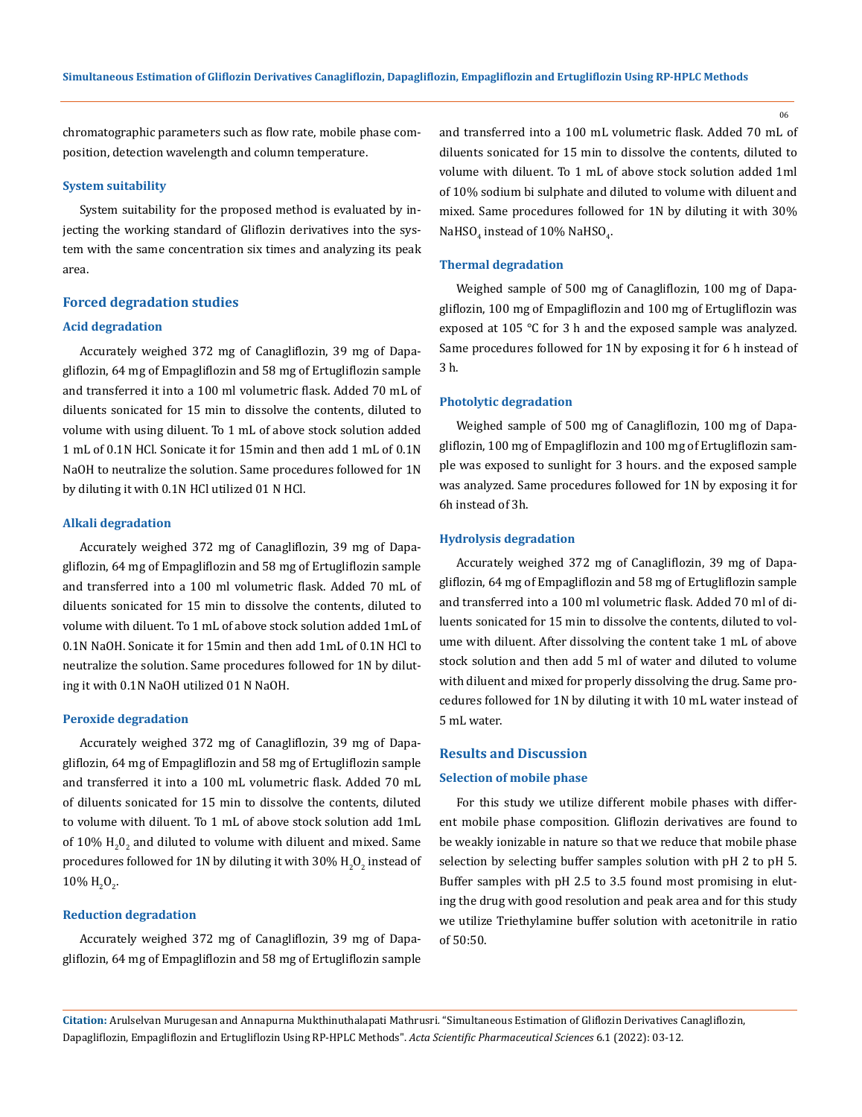chromatographic parameters such as flow rate, mobile phase composition, detection wavelength and column temperature.

## **System suitability**

System suitability for the proposed method is evaluated by injecting the working standard of Gliflozin derivatives into the system with the same concentration six times and analyzing its peak area.

## **Forced degradation studies**

## **Acid degradation**

Accurately weighed 372 mg of Canagliflozin, 39 mg of Dapagliflozin, 64 mg of Empagliflozin and 58 mg of Ertugliflozin sample and transferred it into a 100 ml volumetric flask. Added 70 mL of diluents sonicated for 15 min to dissolve the contents, diluted to volume with using diluent. To 1 mL of above stock solution added 1 mL of 0.1N HCl. Sonicate it for 15min and then add 1 mL of 0.1N NaOH to neutralize the solution. Same procedures followed for 1N by diluting it with 0.1N HCl utilized 01 N HCl.

#### **Alkali degradation**

Accurately weighed 372 mg of Canagliflozin, 39 mg of Dapagliflozin, 64 mg of Empagliflozin and 58 mg of Ertugliflozin sample and transferred into a 100 ml volumetric flask. Added 70 mL of diluents sonicated for 15 min to dissolve the contents, diluted to volume with diluent. To 1 mL of above stock solution added 1mL of 0.1N NaOH. Sonicate it for 15min and then add 1mL of 0.1N HCl to neutralize the solution. Same procedures followed for 1N by diluting it with 0.1N NaOH utilized 01 N NaOH.

### **Peroxide degradation**

Accurately weighed 372 mg of Canagliflozin, 39 mg of Dapagliflozin, 64 mg of Empagliflozin and 58 mg of Ertugliflozin sample and transferred it into a 100 mL volumetric flask. Added 70 mL of diluents sonicated for 15 min to dissolve the contents, diluted to volume with diluent. To 1 mL of above stock solution add 1mL of  $10\%$   $\rm H_2O_2$  and diluted to volume with diluent and mixed. Same procedures followed for 1N by diluting it with 30%  $\rm H_2O_2$  instead of  $10\% \text{ H}_2\text{O}_2$ .

## **Reduction degradation**

Accurately weighed 372 mg of Canagliflozin, 39 mg of Dapagliflozin, 64 mg of Empagliflozin and 58 mg of Ertugliflozin sample and transferred into a 100 mL volumetric flask. Added 70 mL of diluents sonicated for 15 min to dissolve the contents, diluted to volume with diluent. To 1 mL of above stock solution added 1ml of 10% sodium bi sulphate and diluted to volume with diluent and mixed. Same procedures followed for 1N by diluting it with 30% NaHSO $_4$  instead of  $10\%$  NaHSO $_{4}$ .

## **Thermal degradation**

Weighed sample of 500 mg of Canagliflozin, 100 mg of Dapagliflozin, 100 mg of Empagliflozin and 100 mg of Ertugliflozin was exposed at 105 °C for 3 h and the exposed sample was analyzed. Same procedures followed for 1N by exposing it for 6 h instead of 3 h.

### **Photolytic degradation**

Weighed sample of 500 mg of Canagliflozin, 100 mg of Dapagliflozin, 100 mg of Empagliflozin and 100 mg of Ertugliflozin sample was exposed to sunlight for 3 hours. and the exposed sample was analyzed. Same procedures followed for 1N by exposing it for 6h instead of 3h.

#### **Hydrolysis degradation**

Accurately weighed 372 mg of Canagliflozin, 39 mg of Dapagliflozin, 64 mg of Empagliflozin and 58 mg of Ertugliflozin sample and transferred into a 100 ml volumetric flask. Added 70 ml of diluents sonicated for 15 min to dissolve the contents, diluted to volume with diluent. After dissolving the content take 1 mL of above stock solution and then add 5 ml of water and diluted to volume with diluent and mixed for properly dissolving the drug. Same procedures followed for 1N by diluting it with 10 mL water instead of 5 mL water.

#### **Results and Discussion**

#### **Selection of mobile phase**

For this study we utilize different mobile phases with different mobile phase composition. Gliflozin derivatives are found to be weakly ionizable in nature so that we reduce that mobile phase selection by selecting buffer samples solution with pH 2 to pH 5. Buffer samples with pH 2.5 to 3.5 found most promising in eluting the drug with good resolution and peak area and for this study we utilize Triethylamine buffer solution with acetonitrile in ratio of 50:50.

**Citation:** Arulselvan Murugesan and Annapurna Mukthinuthalapati Mathrusri*.* "Simultaneous Estimation of Gliflozin Derivatives Canagliflozin, Dapagliflozin, Empagliflozin and Ertugliflozin Using RP-HPLC Methods". *Acta Scientific Pharmaceutical Sciences* 6.1 (2022): 03-12.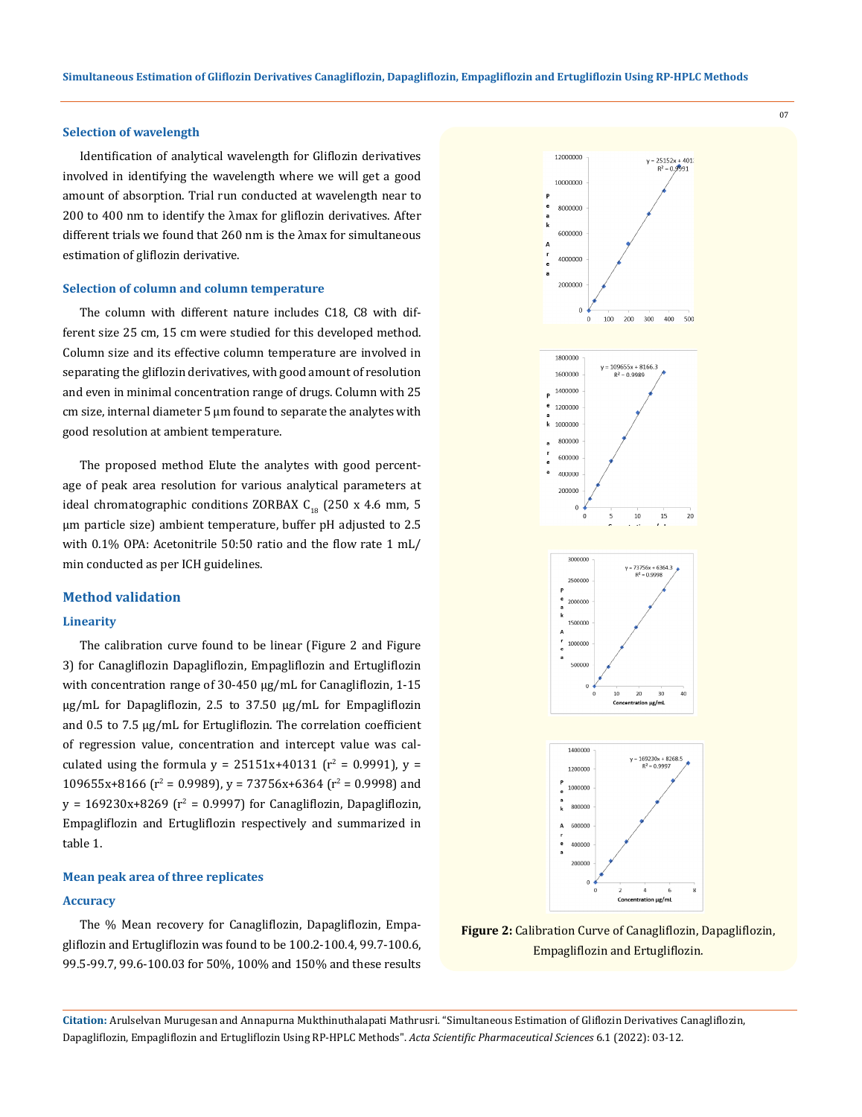### **Selection of wavelength**

Identification of analytical wavelength for Gliflozin derivatives involved in identifying the wavelength where we will get a good amount of absorption. Trial run conducted at wavelength near to 200 to 400 nm to identify the λmax for gliflozin derivatives. After different trials we found that 260 nm is the λmax for simultaneous estimation of gliflozin derivative.

#### **Selection of column and column temperature**

The column with different nature includes C18, C8 with different size 25 cm, 15 cm were studied for this developed method. Column size and its effective column temperature are involved in separating the gliflozin derivatives, with good amount of resolution and even in minimal concentration range of drugs. Column with 25  $cm$  size, internal diameter 5  $\mu$ m found to separate the analytes with good resolution at ambient temperature.

The proposed method Elute the analytes with good percentage of peak area resolution for various analytical parameters at ideal chromatographic conditions ZORBAX  $C_{18}$  (250 x 4.6 mm, 5 μm particle size) ambient temperature, buffer pH adjusted to 2.5 with 0.1% OPA: Acetonitrile 50:50 ratio and the flow rate 1 mL/ min conducted as per ICH guidelines.

## **Method validation**

## **Linearity**

The calibration curve found to be linear (Figure 2 and Figure 3) for Canagliflozin Dapagliflozin, Empagliflozin and Ertugliflozin with concentration range of 30-450 µg/mL for Canagliflozin, 1-15 µg/mL for Dapagliflozin, 2.5 to 37.50 µg/mL for Empagliflozin and 0.5 to 7.5 µg/mL for Ertugliflozin. The correlation coefficient of regression value, concentration and intercept value was calculated using the formula  $y = 25151x+40131$  (r<sup>2</sup> = 0.9991),  $y =$  $109655x+8166$  ( $r^2$  = 0.9989),  $y$  = 73756x+6364 ( $r^2$  = 0.9998) and  $y = 169230x+8269$  ( $r^2 = 0.9997$ ) for Canagliflozin, Dapagliflozin, Empagliflozin and Ertugliflozin respectively and summarized in table 1.

## **Mean peak area of three replicates**

#### **Accuracy**

The % Mean recovery for Canagliflozin, Dapagliflozin, Empagliflozin and Ertugliflozin was found to be 100.2-100.4, 99.7-100.6, 99.5-99.7, 99.6-100.03 for 50%, 100% and 150% and these results



**Figure 2:** Calibration Curve of Canagliflozin, Dapagliflozin, Empagliflozin and Ertugliflozin.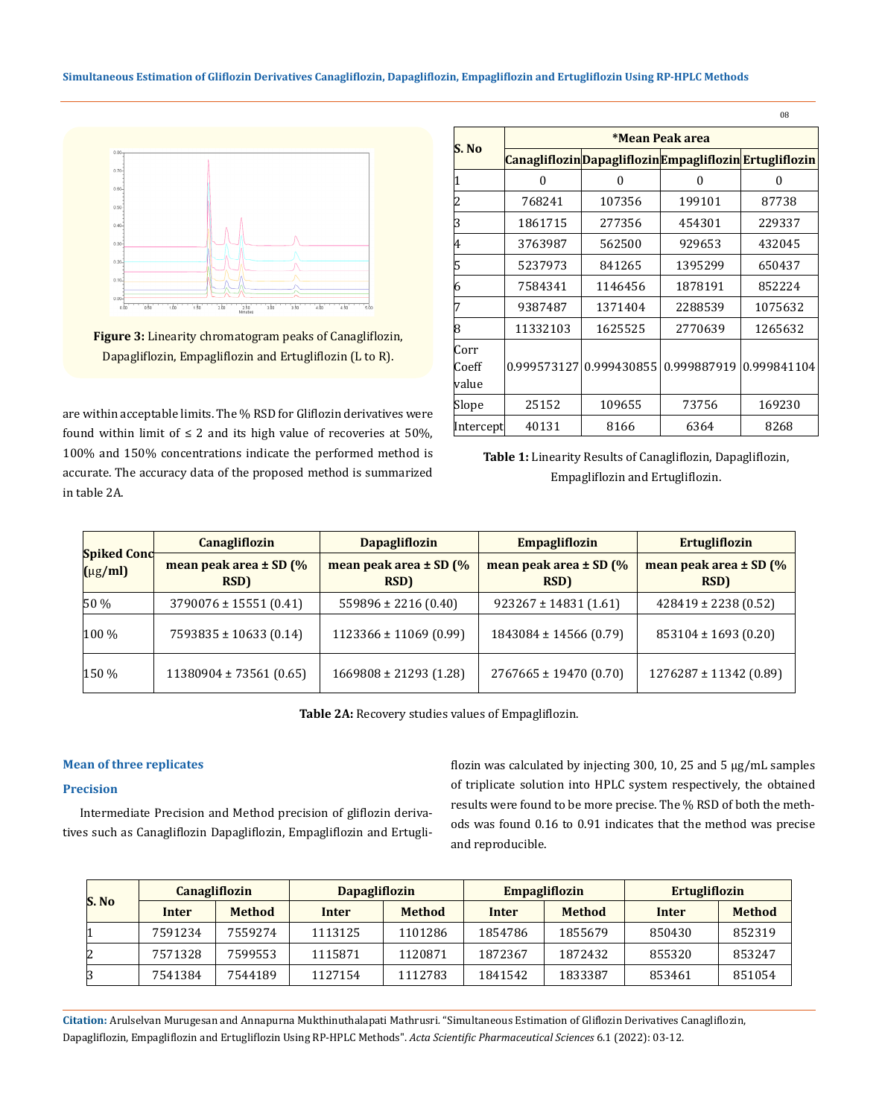

**Figure 3:** Linearity chromatogram peaks of Canagliflozin, Dapagliflozin, Empagliflozin and Ertugliflozin (L to R).

are within acceptable limits. The % RSD for Gliflozin derivatives were found within limit of  $\leq 2$  and its high value of recoveries at 50%, 100% and 150% concentrations indicate the performed method is accurate. The accuracy data of the proposed method is summarized in table 2A.

| S. No                  | *Mean Peak area |             |                                                         |             |  |  |  |
|------------------------|-----------------|-------------|---------------------------------------------------------|-------------|--|--|--|
|                        |                 |             | Canagliflozin Dapagliflozin Empagliflozin Ertugliflozin |             |  |  |  |
|                        | O               | 0           | 0                                                       | 0           |  |  |  |
| 2                      | 768241          | 107356      | 199101                                                  | 87738       |  |  |  |
| 3                      | 1861715         | 277356      | 454301                                                  | 229337      |  |  |  |
| 4                      | 3763987         | 562500      | 929653                                                  | 432045      |  |  |  |
| 15                     | 5237973         | 841265      | 1395299                                                 | 650437      |  |  |  |
| 16                     | 7584341         | 1146456     | 1878191                                                 | 852224      |  |  |  |
| 7                      | 9387487         | 1371404     | 2288539                                                 | 1075632     |  |  |  |
| 8                      | 11332103        | 1625525     | 2770639                                                 | 1265632     |  |  |  |
| Corr<br>Coeff<br>value | 0.999573127     | 0.999430855 | 0.999887919                                             | 0.999841104 |  |  |  |
| Slope                  | 25152           | 109655      | 73756                                                   | 169230      |  |  |  |
| Intercept              | 40131           | 8166        | 6364                                                    | 8268        |  |  |  |

**Table 1:** Linearity Results of Canagliflozin, Dapagliflozin, Empagliflozin and Ertugliflozin.

| <b>Spiked Conc</b><br>$(\mu g/ml)$ | <b>Canagliflozin</b>                | <b>Dapagliflozin</b>               | <b>Empagliflozin</b>               |                                    |
|------------------------------------|-------------------------------------|------------------------------------|------------------------------------|------------------------------------|
|                                    | mean peak area $\pm$ SD (%)<br>RSD) | mean peak area $\pm$ SD (%<br>RSD) | mean peak area $\pm$ SD (%<br>RSD) | mean peak area $\pm$ SD (%<br>RSD) |
| 50 %                               | $3790076 \pm 15551(0.41)$           | $559896 \pm 2216(0.40)$            | $923267 \pm 14831(1.61)$           | $428419 \pm 2238$ (0.52)           |
| 100 %                              | $7593835 \pm 10633$ (0.14)          | $1123366 \pm 11069$ (0.99)         | $1843084 \pm 14566$ (0.79)         | $853104 \pm 1693$ (0.20)           |
| 150 %                              | $11380904 \pm 73561(0.65)$          | $1669808 \pm 21293$ (1.28)         | $2767665 \pm 19470(0.70)$          | $1276287 \pm 11342$ (0.89)         |

**Table 2A:** Recovery studies values of Empagliflozin.

## **Mean of three replicates**

## **Precision**

Intermediate Precision and Method precision of gliflozin derivatives such as Canagliflozin Dapagliflozin, Empagliflozin and Ertugliflozin was calculated by injecting 300, 10, 25 and 5 µg/mL samples of triplicate solution into HPLC system respectively, the obtained results were found to be more precise. The % RSD of both the methods was found 0.16 to 0.91 indicates that the method was precise and reproducible.

| S. No | <b>Canagliflozin</b> |               | <b>Dapagliflozin</b> |               |         | <b>Empagliflozin</b> |        | <b>Ertugliflozin</b> |  |
|-------|----------------------|---------------|----------------------|---------------|---------|----------------------|--------|----------------------|--|
|       | <b>Inter</b>         | <b>Method</b> | Inter                | <b>Method</b> | Inter   | <b>Method</b>        | Inter  | <b>Method</b>        |  |
|       | 7591234              | 7559274       | 1113125              | 1101286       | 1854786 | 1855679              | 850430 | 852319               |  |
| 12    | 7571328              | 7599553       | 1115871              | 1120871       | 1872367 | 1872432              | 855320 | 853247               |  |
|       | 7541384              | 7544189       | 1127154              | 1112783       | 1841542 | 1833387              | 853461 | 851054               |  |

**Citation:** Arulselvan Murugesan and Annapurna Mukthinuthalapati Mathrusri*.* "Simultaneous Estimation of Gliflozin Derivatives Canagliflozin, Dapagliflozin, Empagliflozin and Ertugliflozin Using RP-HPLC Methods". *Acta Scientific Pharmaceutical Sciences* 6.1 (2022): 03-12.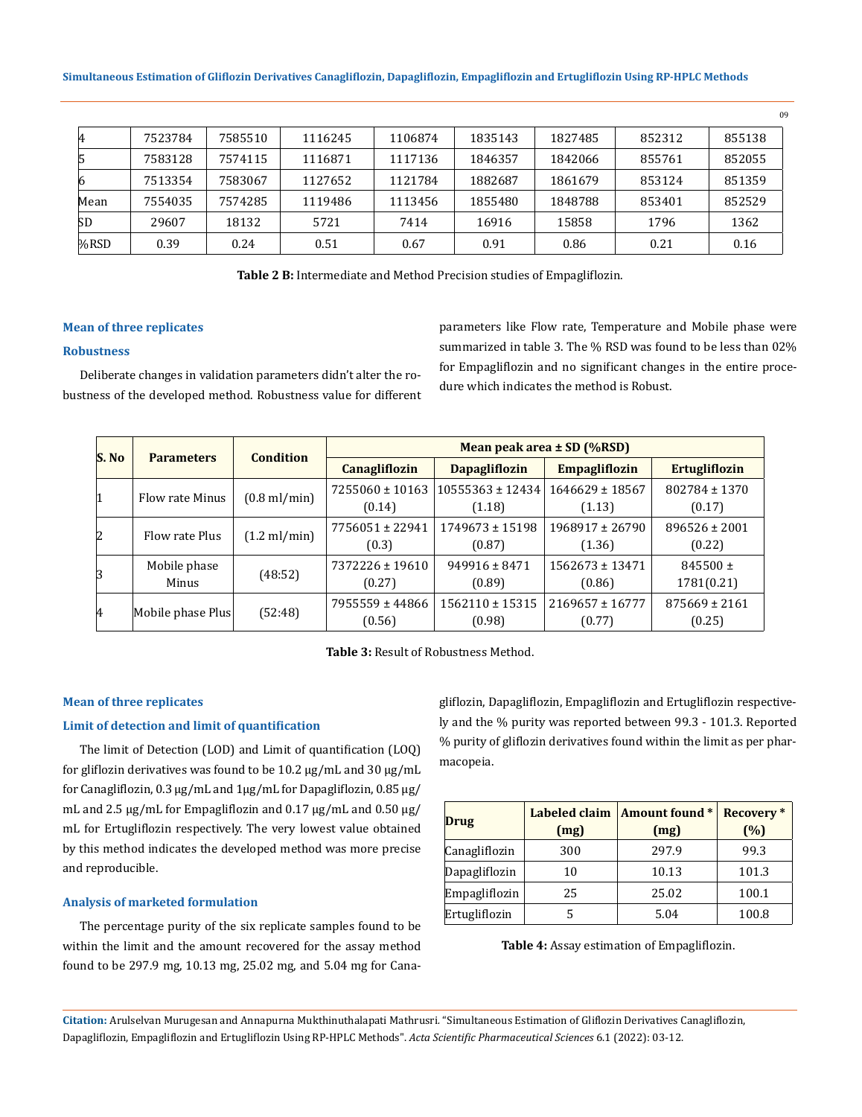| 4    | 7523784 | 7585510 | 1116245 | 1106874 | 1835143 | 1827485 | 852312 | 855138 |
|------|---------|---------|---------|---------|---------|---------|--------|--------|
| 5    | 7583128 | 7574115 | 1116871 | 1117136 | 1846357 | 1842066 | 855761 | 852055 |
| 6    | 7513354 | 7583067 | 1127652 | 1121784 | 1882687 | 1861679 | 853124 | 851359 |
| Mean | 7554035 | 7574285 | 1119486 | 1113456 | 1855480 | 1848788 | 853401 | 852529 |
| SD   | 29607   | 18132   | 5721    | 7414    | 16916   | 15858   | 1796   | 1362   |
| %RSD | 0.39    | 0.24    | 0.51    | 0.67    | 0.91    | 0.86    | 0.21   | 0.16   |

**Table 2 B:** Intermediate and Method Precision studies of Empagliflozin.

## **Mean of three replicates**

## **Robustness**

Deliberate changes in validation parameters didn't alter the robustness of the developed method. Robustness value for different parameters like Flow rate, Temperature and Mobile phase were summarized in table 3. The % RSD was found to be less than 02% for Empagliflozin and no significant changes in the entire procedure which indicates the method is Robust.

09

| S. No     | <b>Parameters</b>     | Condition              | Mean peak area $\pm$ SD (%RSD) |                                |                               |                             |  |
|-----------|-----------------------|------------------------|--------------------------------|--------------------------------|-------------------------------|-----------------------------|--|
|           |                       |                        | <b>Canagliflozin</b>           | <b>Dapagliflozin</b>           | <b>Empagliflozin</b>          | <b>Ertugliflozin</b>        |  |
| 1         | Flow rate Minus       | $(0.8 \text{ ml/min})$ | $7255060 \pm 10163$<br>(0.14)  | $10555363 \pm 12434$<br>(1.18) | $1646629 \pm 18567$<br>(1.13) | $802784 \pm 1370$<br>(0.17) |  |
| 2         | Flow rate Plus        | $(1.2 \text{ ml/min})$ | 7756051 ± 22941<br>(0.3)       | $1749673 \pm 15198$<br>(0.87)  | $1968917 \pm 26790$<br>(1.36) | $896526 \pm 2001$<br>(0.22) |  |
| 3         | Mobile phase<br>Minus | (48:52)                | $7372226 \pm 19610$<br>(0.27)  | $949916 \pm 8471$<br>(0.89)    | $1562673 \pm 13471$<br>(0.86) | $845500 \pm$<br>1781(0.21)  |  |
| $\vert$ 4 | Mobile phase Plus     | (52:48)                | 7955559 ± 44866<br>(0.56)      | $1562110 \pm 15315$<br>(0.98)  | $2169657 \pm 16777$<br>(0.77) | $875669 \pm 2161$<br>(0.25) |  |



#### **Mean of three replicates**

## **Limit of detection and limit of quantification**

The limit of Detection (LOD) and Limit of quantification (LOQ) for gliflozin derivatives was found to be 10.2 µg/mL and 30 µg/mL for Canagliflozin, 0.3 µg/mL and 1µg/mL for Dapagliflozin, 0.85 µg/ mL and 2.5 µg/mL for Empagliflozin and 0.17 µg/mL and 0.50 µg/ mL for Ertugliflozin respectively. The very lowest value obtained by this method indicates the developed method was more precise and reproducible.

### **Analysis of marketed formulation**

The percentage purity of the six replicate samples found to be within the limit and the amount recovered for the assay method found to be 297.9 mg, 10.13 mg, 25.02 mg, and 5.04 mg for Canagliflozin, Dapagliflozin, Empagliflozin and Ertugliflozin respectively and the % purity was reported between 99.3 - 101.3. Reported % purity of gliflozin derivatives found within the limit as per pharmacopeia.

| <b>Drug</b>   | Labeled claim<br>(mg) | Amount found *<br>(mg) | <b>Recovery</b> *<br>(%) |
|---------------|-----------------------|------------------------|--------------------------|
| Canagliflozin | 300                   | 297.9                  | 99.3                     |
| Dapagliflozin | 10                    | 10.13                  | 101.3                    |
| Empagliflozin | 25                    | 25.02                  | 100.1                    |
| Ertugliflozin |                       | 5.04                   | 100.8                    |

#### **Table 4:** Assay estimation of Empagliflozin.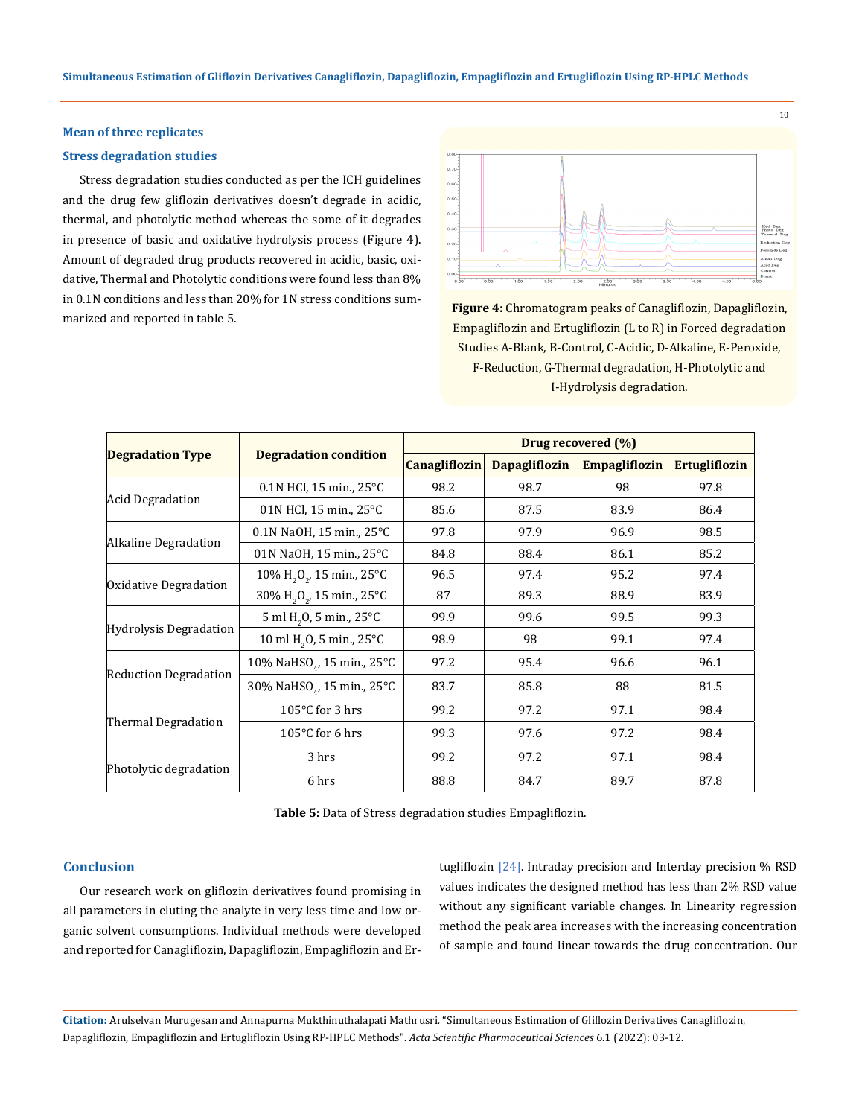## **Mean of three replicates**

### **Stress degradation studies**

Stress degradation studies conducted as per the ICH guidelines and the drug few gliflozin derivatives doesn't degrade in acidic, thermal, and photolytic method whereas the some of it degrades in presence of basic and oxidative hydrolysis process (Figure 4). Amount of degraded drug products recovered in acidic, basic, oxidative, Thermal and Photolytic conditions were found less than 8% in 0.1N conditions and less than 20% for 1N stress conditions summarized and reported in table 5. **Figure 4:** Chromatogram peaks of Canagliflozin, Dapagliflozin,



Empagliflozin and Ertugliflozin (L to R) in Forced degradation Studies A-Blank, B-Control, C-Acidic, D-Alkaline, E-Peroxide, F-Reduction, G-Thermal degradation, H-Photolytic and I-Hydrolysis degradation.

|                              |                                                      | Drug recovered (%) |                      |                      |                      |  |
|------------------------------|------------------------------------------------------|--------------------|----------------------|----------------------|----------------------|--|
| <b>Degradation Type</b>      | <b>Degradation condition</b>                         | Canagliflozin      | <b>Dapagliflozin</b> | <b>Empagliflozin</b> | <b>Ertugliflozin</b> |  |
|                              | $0.1N$ HCl, 15 min., 25°C                            | 98.2               | 98.7                 | 98                   | 97.8                 |  |
| Acid Degradation             | 01N HCl, 15 min., 25°C                               | 85.6               | 87.5                 | 83.9                 | 86.4                 |  |
|                              | 0.1N NaOH, 15 min., 25°C                             | 97.8               | 97.9                 | 96.9                 | 98.5                 |  |
| Alkaline Degradation         | 01N NaOH, 15 min., $25^{\circ}$ C                    | 84.8               | 88.4                 | 86.1                 | 85.2                 |  |
|                              | $10\%$ H <sub>2</sub> O <sub>2</sub> , 15 min., 25°C | 96.5               | 97.4                 | 95.2                 | 97.4                 |  |
| Oxidative Degradation        | 30% H <sub>2</sub> O <sub>2</sub> , 15 min., 25°C    | 87                 | 89.3                 | 88.9                 | 83.9                 |  |
|                              | 5 ml H <sub>2</sub> O, 5 min., 25°C                  | 99.9               | 99.6                 | 99.5                 | 99.3                 |  |
| Hydrolysis Degradation       | 10 ml H <sub>2</sub> O <sub>2</sub> 5 min., 25°C     | 98.9               | 98                   | 99.1                 | 97.4                 |  |
|                              | 10% NaHSO <sub>4</sub> , 15 min., 25°C               | 97.2               | 95.4                 | 96.6                 | 96.1                 |  |
| <b>Reduction Degradation</b> | 30% NaHSO <sub>4</sub> , 15 min., 25°C               | 83.7               | 85.8                 | 88                   | 81.5                 |  |
|                              | 105 $\degree$ C for 3 hrs                            | 99.2               | 97.2                 | 97.1                 | 98.4                 |  |
| Thermal Degradation          | 105 $\degree$ C for 6 hrs                            | 99.3               | 97.6                 | 97.2                 | 98.4                 |  |
|                              | 3 hrs                                                | 99.2               | 97.2                 | 97.1                 | 98.4                 |  |
| Photolytic degradation       | 6 hrs                                                | 88.8               | 84.7                 | 89.7                 | 87.8                 |  |

**Table 5:** Data of Stress degradation studies Empagliflozin.

#### **Conclusion**

Our research work on gliflozin derivatives found promising in all parameters in eluting the analyte in very less time and low organic solvent consumptions. Individual methods were developed and reported for Canagliflozin, Dapagliflozin, Empagliflozin and Ertugliflozin [24]. Intraday precision and Interday precision % RSD values indicates the designed method has less than 2% RSD value without any significant variable changes. In Linearity regression method the peak area increases with the increasing concentration of sample and found linear towards the drug concentration. Our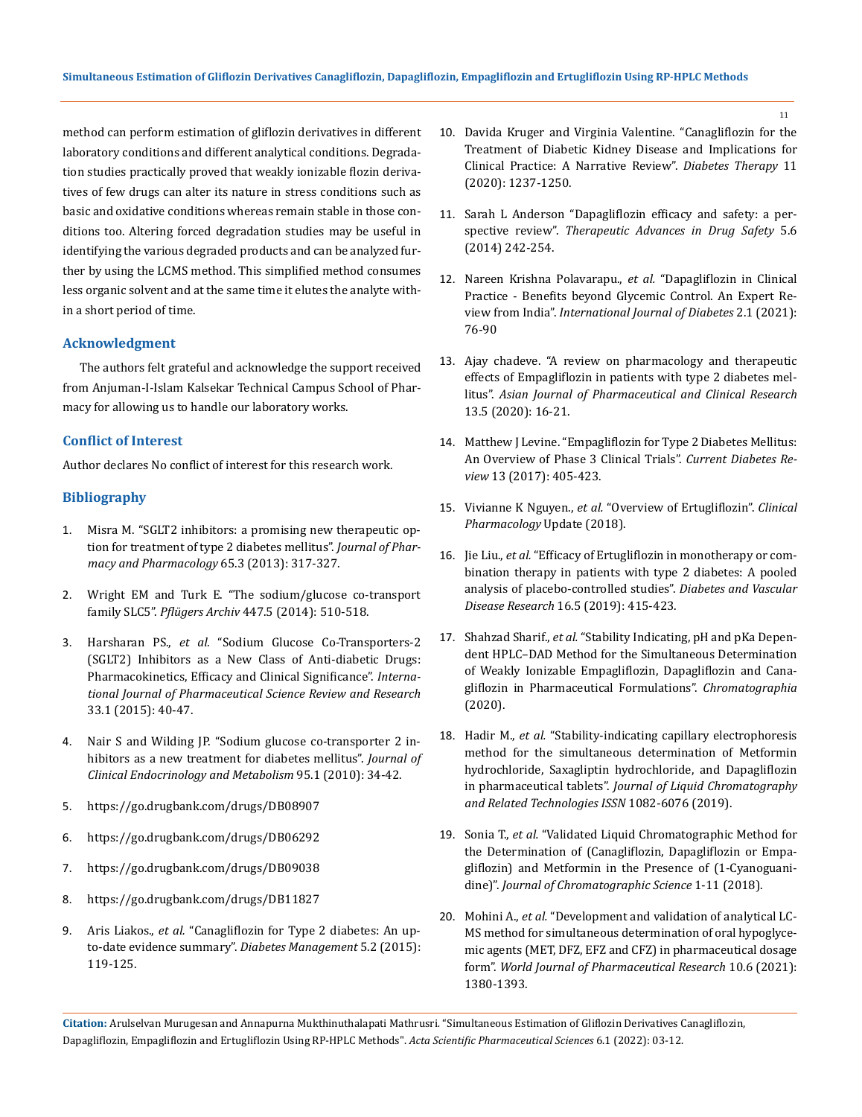method can perform estimation of gliflozin derivatives in different laboratory conditions and different analytical conditions. Degradation studies practically proved that weakly ionizable flozin derivatives of few drugs can alter its nature in stress conditions such as basic and oxidative conditions whereas remain stable in those conditions too. Altering forced degradation studies may be useful in identifying the various degraded products and can be analyzed further by using the LCMS method. This simplified method consumes less organic solvent and at the same time it elutes the analyte within a short period of time.

## **Acknowledgment**

The authors felt grateful and acknowledge the support received from Anjuman-I-Islam Kalsekar Technical Campus School of Pharmacy for allowing us to handle our laboratory works.

## **Conflict of Interest**

Author declares No conflict of interest for this research work.

## **Bibliography**

- 1. [Misra M. "SGLT2 inhibitors: a promising new therapeutic op](https://pubmed.ncbi.nlm.nih.gov/23356840/)[tion for treatment of type 2 diabetes mellitus".](https://pubmed.ncbi.nlm.nih.gov/23356840/) *Journal of Phar[macy and Pharmacology](https://pubmed.ncbi.nlm.nih.gov/23356840/)* 65.3 (2013): 317-327.
- 2. [Wright EM and Turk E. "The sodium/glucose co-transport](https://pubmed.ncbi.nlm.nih.gov/12748858/)  family SLC5". *Pflügers Archiv* [447.5 \(2014\): 510-518.](https://pubmed.ncbi.nlm.nih.gov/12748858/)
- 3. Harsharan PS., *et al.* ["Sodium Glucose Co-Transporters-2](https://www.ncbi.nlm.nih.gov/pmc/articles/PMC6096352/)  [\(SGLT2\) Inhibitors as a New Class of Anti-diabetic Drugs:](https://www.ncbi.nlm.nih.gov/pmc/articles/PMC6096352/)  [Pharmacokinetics, Efficacy and Clinical Significance".](https://www.ncbi.nlm.nih.gov/pmc/articles/PMC6096352/) *Interna[tional Journal of Pharmaceutical Science Review and Research](https://www.ncbi.nlm.nih.gov/pmc/articles/PMC6096352/)* [33.1 \(2015\): 40-47.](https://www.ncbi.nlm.nih.gov/pmc/articles/PMC6096352/)
- 4. [Nair S and Wilding JP. "Sodium glucose co-transporter 2 in](https://pubmed.ncbi.nlm.nih.gov/19892839/)[hibitors as a new treatment for diabetes mellitus".](https://pubmed.ncbi.nlm.nih.gov/19892839/) *Journal of [Clinical Endocrinology and Metabolism](https://pubmed.ncbi.nlm.nih.gov/19892839/)* 95.1 (2010): 34-42.
- 5. <https://go.drugbank.com/drugs/DB08907>
- 6. <https://go.drugbank.com/drugs/DB06292>
- 7. <https://go.drugbank.com/drugs/DB09038>
- 8. <https://go.drugbank.com/drugs/DB11827>
- 9. Aris Liakos., *et al.* ["Canagliflozin for Type 2 diabetes: An up](https://www.openaccessjournals.com/articles/canagliflozin-for-type-2-diabetes-an-uptodate-evidence-summary.pdf)[to-date evidence summary".](https://www.openaccessjournals.com/articles/canagliflozin-for-type-2-diabetes-an-uptodate-evidence-summary.pdf) *Diabetes Management* 5.2 (2015): [119-125.](https://www.openaccessjournals.com/articles/canagliflozin-for-type-2-diabetes-an-uptodate-evidence-summary.pdf)
- 10. [Davida Kruger and Virginia Valentine. "Canagliflozin for the](https://pubmed.ncbi.nlm.nih.gov/32405876/)  [Treatment of Diabetic Kidney Disease and Implications for](https://pubmed.ncbi.nlm.nih.gov/32405876/)  [Clinical Practice: A Narrative Review".](https://pubmed.ncbi.nlm.nih.gov/32405876/) *Diabetes Therapy* 11 [\(2020\): 1237-1250.](https://pubmed.ncbi.nlm.nih.gov/32405876/)
- 11. [Sarah L Anderson "Dapagliflozin efficacy and safety: a per](https://pubmed.ncbi.nlm.nih.gov/25436106/)spective review". *Therapeutic [Advances in Drug Safety](https://pubmed.ncbi.nlm.nih.gov/25436106/)* 5.6 [\(2014\) 242-254.](https://pubmed.ncbi.nlm.nih.gov/25436106/)
- 12. [Nareen Krishna Polavarapu.,](https://www.scitcentral.com/article/23/2250/Dapagliflozin-in-Clinical-Practice---Benefits-beyond-Glycaemic-Control-An-Expert-Review-from-India) *et al.* "Dapagliflozin in Clinical [Practice - Benefits beyond Glycemic Control. An Expert Re](https://www.scitcentral.com/article/23/2250/Dapagliflozin-in-Clinical-Practice---Benefits-beyond-Glycaemic-Control-An-Expert-Review-from-India)view from India". *[International Journal of Diabetes](https://www.scitcentral.com/article/23/2250/Dapagliflozin-in-Clinical-Practice---Benefits-beyond-Glycaemic-Control-An-Expert-Review-from-India)* 2.1 (2021): [76-90](https://www.scitcentral.com/article/23/2250/Dapagliflozin-in-Clinical-Practice---Benefits-beyond-Glycaemic-Control-An-Expert-Review-from-India)
- 13. [Ajay chadeve. "A review on pharmacology and therapeutic](https://innovareacademics.in/journals/index.php/ajpcr/article/view/36838)  [effects of Empagliflozin in patients with type 2 diabetes mel](https://innovareacademics.in/journals/index.php/ajpcr/article/view/36838)litus". *[Asian Journal of Pharmaceutical and Clinical Research](https://innovareacademics.in/journals/index.php/ajpcr/article/view/36838)* [13.5 \(2020\): 16-21.](https://innovareacademics.in/journals/index.php/ajpcr/article/view/36838)
- 14. [Matthew J Levine. "Empagliflozin for Type 2 Diabetes Mellitus:](https://pubmed.ncbi.nlm.nih.gov/27296042/)  [An Overview of Phase 3 Clinical Trials".](https://pubmed.ncbi.nlm.nih.gov/27296042/) *Current Diabetes Review* [13 \(2017\): 405-423.](https://pubmed.ncbi.nlm.nih.gov/27296042/)
- 15. Vivianne K Nguyen., *et al.* ["Overview of Ertugliflozin".](https://clinical.diabetesjournals.org/content/37/2/176) *Clinical [Pharmacology](https://clinical.diabetesjournals.org/content/37/2/176)* Update (2018).
- 16. Jie Liu., *et al.* ["Efficacy of Ertugliflozin in monotherapy or com](https://pubmed.ncbi.nlm.nih.gov/31081371/)[bination therapy in patients with type 2 diabetes: A pooled](https://pubmed.ncbi.nlm.nih.gov/31081371/)  [analysis of placebo-controlled studies".](https://pubmed.ncbi.nlm.nih.gov/31081371/) *Diabetes and Vascular Disease Research* [16.5 \(2019\): 415-423.](https://pubmed.ncbi.nlm.nih.gov/31081371/)
- 17. Shahzad Sharif., *et al.* ["Stability Indicating, pH and pKa Depen](https://link.springer.com/article/10.1007%2Fs10337-020-03962-4)[dent HPLC–DAD Method for the Simultaneous Determination](https://link.springer.com/article/10.1007%2Fs10337-020-03962-4)  [of Weakly Ionizable Empagliflozin, Dapagliflozin and Cana](https://link.springer.com/article/10.1007%2Fs10337-020-03962-4)[gliflozin in Pharmaceutical Formulations".](https://link.springer.com/article/10.1007%2Fs10337-020-03962-4) *Chromatographia* [\(2020\).](https://link.springer.com/article/10.1007%2Fs10337-020-03962-4)
- 18. Hadir M., *et al.* ["Stability-indicating capillary electrophoresis](https://www.tandfonline.com/doi/abs/10.1080/10826076.2019.1590208)  [method for the simultaneous determination of Metformin](https://www.tandfonline.com/doi/abs/10.1080/10826076.2019.1590208)  [hydrochloride, Saxagliptin hydrochloride, and Dapagliflozin](https://www.tandfonline.com/doi/abs/10.1080/10826076.2019.1590208)  in pharmaceutical tablets". *[Journal of Liquid Chromatography](https://www.tandfonline.com/doi/abs/10.1080/10826076.2019.1590208)  [and Related Technologies ISSN](https://www.tandfonline.com/doi/abs/10.1080/10826076.2019.1590208)* 1082-6076 (2019).
- 19. Sonia T., *et al.* ["Validated Liquid Chromatographic Method for](https://pubmed.ncbi.nlm.nih.gov/31240304/)  [the Determination of \(Canagliflozin, Dapagliflozin or Empa](https://pubmed.ncbi.nlm.nih.gov/31240304/)[gliflozin\) and Metformin in the Presence of \(1-Cyanoguani](https://pubmed.ncbi.nlm.nih.gov/31240304/)dine)". *[Journal of Chromatographic Science](https://pubmed.ncbi.nlm.nih.gov/31240304/)* 1-11 (2018).
- 20. Mohini A., *et al.* ["Development and validation of analytical LC-](https://wjpr.s3.ap-south-1.amazonaws.com/article_issue/1622464026.pdf)[MS method for simultaneous determination of oral hypoglyce](https://wjpr.s3.ap-south-1.amazonaws.com/article_issue/1622464026.pdf)[mic agents \(MET, DFZ, EFZ and CFZ\) in pharmaceutical dosage](https://wjpr.s3.ap-south-1.amazonaws.com/article_issue/1622464026.pdf)  form". *[World Journal of Pharmaceutical Research](https://wjpr.s3.ap-south-1.amazonaws.com/article_issue/1622464026.pdf)* 10.6 (2021): [1380-1393.](https://wjpr.s3.ap-south-1.amazonaws.com/article_issue/1622464026.pdf)

**Citation:** Arulselvan Murugesan and Annapurna Mukthinuthalapati Mathrusri*.* "Simultaneous Estimation of Gliflozin Derivatives Canagliflozin, Dapagliflozin, Empagliflozin and Ertugliflozin Using RP-HPLC Methods". *Acta Scientific Pharmaceutical Sciences* 6.1 (2022): 03-12.